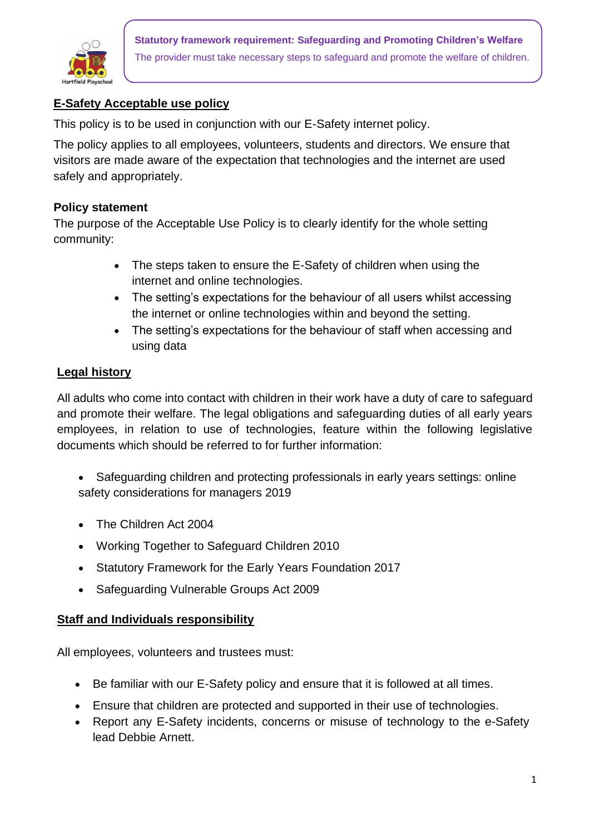

**Statutory framework requirement: Safeguarding and Promoting Children's Welfare** The provider must take necessary steps to safeguard and promote the welfare of children.

## **E-Safety Acceptable use policy**

This policy is to be used in conjunction with our E-Safety internet policy.

The policy applies to all employees, volunteers, students and directors. We ensure that visitors are made aware of the expectation that technologies and the internet are used safely and appropriately.

## **Policy statement**

The purpose of the Acceptable Use Policy is to clearly identify for the whole setting community:

- The steps taken to ensure the E-Safety of children when using the internet and online technologies.
- The setting's expectations for the behaviour of all users whilst accessing the internet or online technologies within and beyond the setting.
- The setting's expectations for the behaviour of staff when accessing and using data

## **Legal history**

All adults who come into contact with children in their work have a duty of care to safeguard and promote their welfare. The legal obligations and safeguarding duties of all early years employees, in relation to use of technologies, feature within the following legislative documents which should be referred to for further information:

- Safeguarding children and protecting professionals in early years settings: online safety considerations for managers 2019
- The Children Act 2004
- Working Together to Safeguard Children 2010
- Statutory Framework for the Early Years Foundation 2017
- Safeguarding Vulnerable Groups Act 2009

## **Staff and Individuals responsibility**

All employees, volunteers and trustees must:

- Be familiar with our E-Safety policy and ensure that it is followed at all times.
- Ensure that children are protected and supported in their use of technologies.
- Report any E-Safety incidents, concerns or misuse of technology to the e-Safety lead Debbie Arnett.